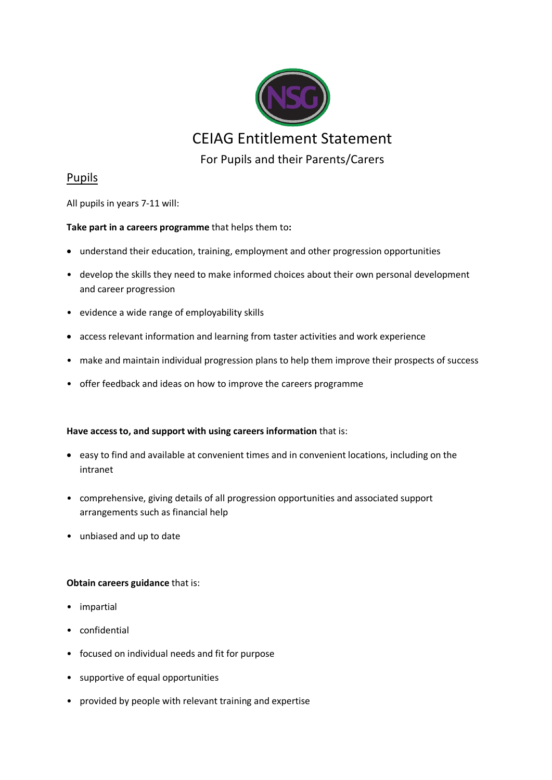

# Pupils

All pupils in years 7-11 will:

## **Take part in a careers programme** that helps them to**:**

- understand their education, training, employment and other progression opportunities
- develop the skills they need to make informed choices about their own personal development and career progression
- evidence a wide range of employability skills
- access relevant information and learning from taster activities and work experience
- make and maintain individual progression plans to help them improve their prospects of success
- offer feedback and ideas on how to improve the careers programme

### **Have access to, and support with using careers information** that is:

- easy to find and available at convenient times and in convenient locations, including on the intranet
- comprehensive, giving details of all progression opportunities and associated support arrangements such as financial help
- unbiased and up to date

### **Obtain careers guidance** that is:

- impartial
- confidential
- focused on individual needs and fit for purpose
- supportive of equal opportunities
- provided by people with relevant training and expertise